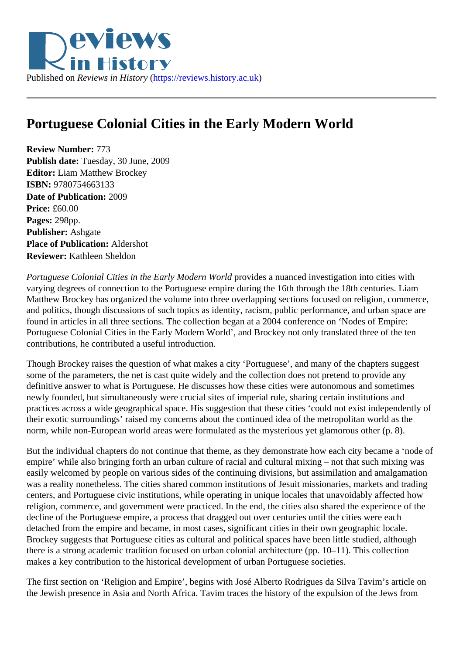## Portuguese Colonial Cities in the Early Modern World

Review Number: 773 Publish date: Tuesday, 30 June, 2009 Editor: Liam Matthew Brockey ISBN: 9780754663133 Date of Publication: 2009 Price: £60.00 Pages: 298pp. Publisher: Ashgate Place of Publication: Aldershot Reviewer: Kathleen Sheldon

Portuguese Colonial Cities in the Early Modern World vides a nuanced investigation into cities with varying degrees of connection to the Portuguese empire during the 16th through the 18th centuries. Liam Matthew Brockey has organized the volume into three overlapping sections focused on religion, commerce and politics, though discussions of such topics as identity, racism, public performance, and urban space a found in articles in all three sections. The collection began at a 2004 conference on 'Nodes of Empire: Portuguese Colonial Cities in the Early Modern World', and Brockey not only translated three of the ten contributions, he contributed a useful introduction.

Though Brockey raises the question of what makes a city 'Portuguese', and many of the chapters suggest some of the parameters, the net is cast quite widely and the collection does not pretend to provide any definitive answer to what is Portuguese. He discusses how these cities were autonomous and sometimes newly founded, but simultaneously were crucial sites of imperial rule, sharing certain institutions and practices across a wide geographical space. His suggestion that these cities 'could not exist independently their exotic surroundings' raised my concerns about the continued idea of the metropolitan world as the norm, while non-European world areas were formulated as the mysterious yet glamorous other (p. 8).

But the individual chapters do not continue that theme, as they demonstrate how each city became a 'node empire' while also bringing forth an urban culture of racial and cultural mixing – not that such mixing was easily welcomed by people on various sides of the continuing divisions, but assimilation and amalgamation was a reality nonetheless. The cities shared common institutions of Jesuit missionaries, markets and tradi centers, and Portuguese civic institutions, while operating in unique locales that unavoidably affected how religion, commerce, and government were practiced. In the end, the cities also shared the experience of the decline of the Portuguese empire, a process that dragged out over centuries until the cities were each detached from the empire and became, in most cases, significant cities in their own geographic locale. Brockey suggests that Portuguese cities as cultural and political spaces have been little studied, although there is a strong academic tradition focused on urban colonial architecture (pp. 10–11). This collection makes a key contribution to the historical development of urban Portuguese societies.

The first section on 'Religion and Empire', begins with José Alberto Rodrigues da Silva Tavim's article on the Jewish presence in Asia and North Africa. Tavim traces the history of the expulsion of the Jews from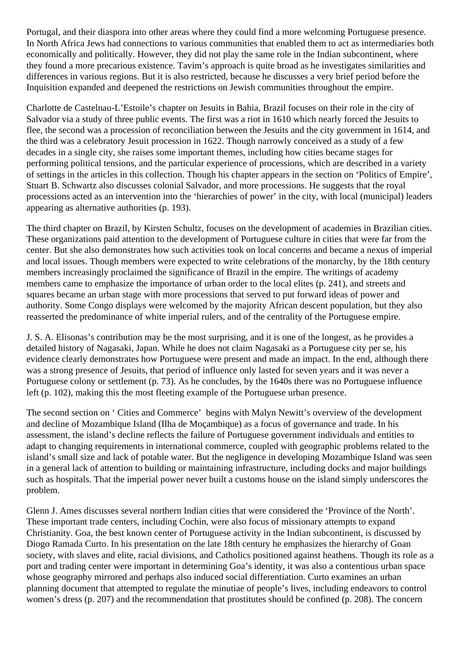Portugal, and their diaspora into other areas where they could find a more welcoming Portuguese presence. In North Africa Jews had connections to various communities that enabled them to act as intermediaries both economically and politically. However, they did not play the same role in the Indian subcontinent, where they found a more precarious existence. Tavim's approach is quite broad as he investigates similarities and differences in various regions. But it is also restricted, because he discusses a very brief period before the Inquisition expanded and deepened the restrictions on Jewish communities throughout the empire.

Charlotte de Castelnau-L'Estoile's chapter on Jesuits in Bahia, Brazil focuses on their role in the city of Salvador via a study of three public events. The first was a riot in 1610 which nearly forced the Jesuits to flee, the second was a procession of reconciliation between the Jesuits and the city government in 1614, and the third was a celebratory Jesuit procession in 1622. Though narrowly conceived as a study of a few decades in a single city, she raises some important themes, including how cities became stages for performing political tensions, and the particular experience of processions, which are described in a variety of settings in the articles in this collection. Though his chapter appears in the section on 'Politics of Empire', Stuart B. Schwartz also discusses colonial Salvador, and more processions. He suggests that the royal processions acted as an intervention into the 'hierarchies of power' in the city, with local (municipal) leaders appearing as alternative authorities (p. 193).

The third chapter on Brazil, by Kirsten Schultz, focuses on the development of academies in Brazilian cities. These organizations paid attention to the development of Portuguese culture in cities that were far from the center. But she also demonstrates how such activities took on local concerns and became a nexus of imperial and local issues. Though members were expected to write celebrations of the monarchy, by the 18th century members increasingly proclaimed the significance of Brazil in the empire. The writings of academy members came to emphasize the importance of urban order to the local elites (p. 241), and streets and squares became an urban stage with more processions that served to put forward ideas of power and authority. Some Congo displays were welcomed by the majority African descent population, but they also reasserted the predominance of white imperial rulers, and of the centrality of the Portuguese empire.

J. S. A. Elisonas's contribution may be the most surprising, and it is one of the longest, as he provides a detailed history of Nagasaki, Japan. While he does not claim Nagasaki as a Portuguese city per se, his evidence clearly demonstrates how Portuguese were present and made an impact. In the end, although there was a strong presence of Jesuits, that period of influence only lasted for seven years and it was never a Portuguese colony or settlement (p. 73). As he concludes, by the 1640s there was no Portuguese influence left (p. 102), making this the most fleeting example of the Portuguese urban presence.

The second section on ' Cities and Commerce' begins with Malyn Newitt's overview of the development and decline of Mozambique Island (Ilha de Moçambique) as a focus of governance and trade. In his assessment, the island's decline reflects the failure of Portuguese government individuals and entities to adapt to changing requirements in international commerce, coupled with geographic problems related to the island's small size and lack of potable water. But the negligence in developing Mozambique Island was seen in a general lack of attention to building or maintaining infrastructure, including docks and major buildings such as hospitals. That the imperial power never built a customs house on the island simply underscores the problem.

Glenn J. Ames discusses several northern Indian cities that were considered the 'Province of the North'. These important trade centers, including Cochin, were also focus of missionary attempts to expand Christianity. Goa, the best known center of Portuguese activity in the Indian subcontinent, is discussed by Diogo Ramada Curto. In his presentation on the late 18th century he emphasizes the hierarchy of Goan society, with slaves and elite, racial divisions, and Catholics positioned against heathens. Though its role as a port and trading center were important in determining Goa's identity, it was also a contentious urban space whose geography mirrored and perhaps also induced social differentiation. Curto examines an urban planning document that attempted to regulate the minutiae of people's lives, including endeavors to control women's dress (p. 207) and the recommendation that prostitutes should be confined (p. 208). The concern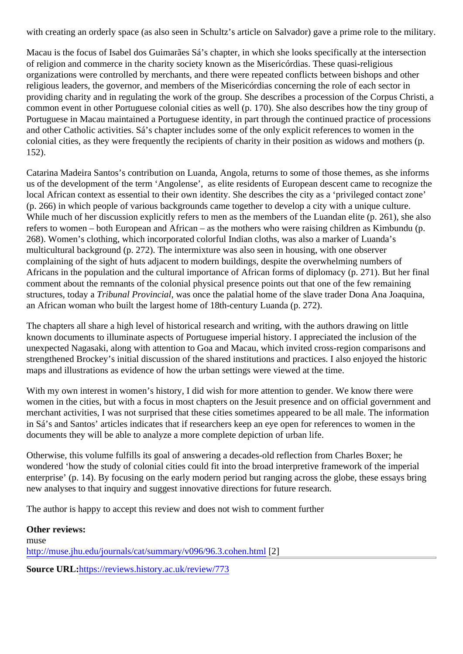with creating an orderly space (as also seen in Schultz's article on Salvador) gave a prime role to the milita

Macau is the focus of Isabel dos Guimarães Sá's chapter, in which she looks specifically at the intersection of religion and commerce in the charity society known as the Misericórdias. These quasi-religious organizations were controlled by merchants, and there were repeated conflicts between bishops and other religious leaders, the governor, and members of the Misericórdias concerning the role of each sector in providing charity and in regulating the work of the group. She describes a procession of the Corpus Christ common event in other Portuguese colonial cities as well (p. 170). She also describes how the tiny group of Portuguese in Macau maintained a Portuguese identity, in part through the continued practice of processions. and other Catholic activities. Sá's chapter includes some of the only explicit references to women in the colonial cities, as they were frequently the recipients of charity in their position as widows and mothers (p. 152).

Catarina Madeira Santos's contribution on Luanda, Angola, returns to some of those themes, as she infor us of the development of the term 'Angolense', as elite residents of European descent came to recognize local African context as essential to their own identity. She describes the city as a 'privileged contact zone (p. 266) in which people of various backgrounds came together to develop a city with a unique culture. While much of her discussion explicitly refers to men as the members of the Luandan elite (p. 261), she also refers to women – both European and African – as the mothers who were raising children as Kimbundu (p. 268). Women's clothing, which incorporated colorful Indian cloths, was also a marker of Luanda's multicultural background (p. 272). The intermixture was also seen in housing, with one observer complaining of the sight of huts adjacent to modern buildings, despite the overwhelming numbers of Africans in the population and the cultural importance of African forms of diplomacy (p. 271). But her final comment about the remnants of the colonial physical presence points out that one of the few remaining structures, today Taribunal Provincial was once the palatial home of the slave trader Dona Ana Joaquina, an African woman who built the largest home of 18th-century Luanda (p. 272).

The chapters all share a high level of historical research and writing, with the authors drawing on little known documents to illuminate aspects of Portuguese imperial history. I appreciated the inclusion of the unexpected Nagasaki, along with attention to Goa and Macau, which invited cross-region comparisons an strengthened Brockey's initial discussion of the shared institutions and practices. I also enjoyed the histori maps and illustrations as evidence of how the urban settings were viewed at the time.

With my own interest in women's history, I did wish for more attention to gender. We know there were women in the cities, but with a focus in most chapters on the Jesuit presence and on official government a merchant activities, I was not surprised that these cities sometimes appeared to be all male. The information in Sá's and Santos' articles indicates that if researchers keep an eye open for references to women in the documents they will be able to analyze a more complete depiction of urban life.

Otherwise, this volume fulfills its goal of answering a decades-old reflection from Charles Boxer; he wondered 'how the study of colonial cities could fit into the broad interpretive framework of the imperial enterprise' (p. 14). By focusing on the early modern period but ranging across the globe, these essays bring new analyses to that inquiry and suggest innovative directions for future research.

The author is happy to accept this review and does not wish to comment further

Other reviews: muse [http://muse.jhu.edu/journals/cat/summary/v096/96.3.cohen](http://muse.jhu.edu/journals/cat/summary/v096/96.3.cohen.html)[2]ml Source URL[:https://reviews.history.ac.uk/review/7](https://reviews.history.ac.uk/review/773)73